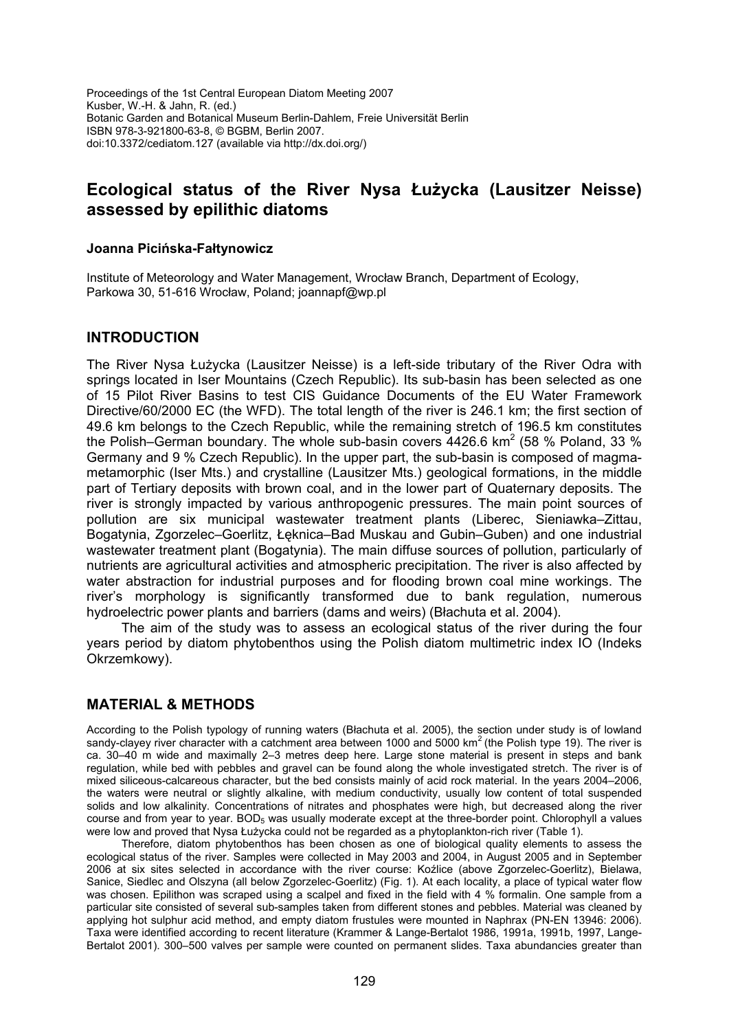Proceedings of the 1st Central European Diatom Meeting 2007 Kusber, W.-H. & Jahn, R. (ed.) Botanic Garden and Botanical Museum Berlin-Dahlem, Freie Universität Berlin ISBN 978-3-921800-63-8, © BGBM, Berlin 2007. doi:10.3372/cediatom.127 (available via http://dx.doi.org/)

# **Ecological status of the River Nysa Łużycka (Lausitzer Neisse) assessed by epilithic diatoms**

#### **Joanna Picińska-Fałtynowicz**

Institute of Meteorology and Water Management, Wrocław Branch, Department of Ecology, Parkowa 30, 51-616 Wrocław, Poland; joannapf@wp.pl

### **INTRODUCTION**

The River Nysa Łużycka (Lausitzer Neisse) is a left-side tributary of the River Odra with springs located in Iser Mountains (Czech Republic). Its sub-basin has been selected as one of 15 Pilot River Basins to test CIS Guidance Documents of the EU Water Framework Directive/60/2000 EC (the WFD). The total length of the river is 246.1 km; the first section of 49.6 km belongs to the Czech Republic, while the remaining stretch of 196.5 km constitutes the Polish–German boundary. The whole sub-basin covers  $4426.6$  km<sup>2</sup> (58 % Poland, 33 % Germany and 9 % Czech Republic). In the upper part, the sub-basin is composed of magmametamorphic (Iser Mts.) and crystalline (Lausitzer Mts.) geological formations, in the middle part of Tertiary deposits with brown coal, and in the lower part of Quaternary deposits. The river is strongly impacted by various anthropogenic pressures. The main point sources of pollution are six municipal wastewater treatment plants (Liberec, Sieniawka–Zittau, Bogatynia, Zgorzelec–Goerlitz, Łęknica–Bad Muskau and Gubin–Guben) and one industrial wastewater treatment plant (Bogatynia). The main diffuse sources of pollution, particularly of nutrients are agricultural activities and atmospheric precipitation. The river is also affected by water abstraction for industrial purposes and for flooding brown coal mine workings. The river's morphology is significantly transformed due to bank regulation, numerous hydroelectric power plants and barriers (dams and weirs) (Błachuta et al. 2004).

The aim of the study was to assess an ecological status of the river during the four years period by diatom phytobenthos using the Polish diatom multimetric index IO (Indeks Okrzemkowy).

## **MATERIAL & METHODS**

According to the Polish typology of running waters (Błachuta et al. 2005), the section under study is of lowland sandy-clayey river character with a catchment area between 1000 and 5000 km<sup>2</sup> (the Polish type 19). The river is ca. 30–40 m wide and maximally 2–3 metres deep here. Large stone material is present in steps and bank regulation, while bed with pebbles and gravel can be found along the whole investigated stretch. The river is of mixed siliceous-calcareous character, but the bed consists mainly of acid rock material. In the years 2004–2006, the waters were neutral or slightly alkaline, with medium conductivity, usually low content of total suspended solids and low alkalinity. Concentrations of nitrates and phosphates were high, but decreased along the river course and from year to year. BOD<sub>5</sub> was usually moderate except at the three-border point. Chlorophyll a values were low and proved that Nysa Łużycka could not be regarded as a phytoplankton-rich river (Table 1).

Therefore, diatom phytobenthos has been chosen as one of biological quality elements to assess the ecological status of the river. Samples were collected in May 2003 and 2004, in August 2005 and in September 2006 at six sites selected in accordance with the river course: Koźlice (above Zgorzelec-Goerlitz), Bielawa, Sanice, Siedlec and Olszyna (all below Zgorzelec-Goerlitz) (Fig. 1). At each locality, a place of typical water flow was chosen. Epilithon was scraped using a scalpel and fixed in the field with 4 % formalin. One sample from a particular site consisted of several sub-samples taken from different stones and pebbles. Material was cleaned by applying hot sulphur acid method, and empty diatom frustules were mounted in Naphrax (PN-EN 13946: 2006). Taxa were identified according to recent literature (Krammer & Lange-Bertalot 1986, 1991a, 1991b, 1997, Lange-Bertalot 2001). 300-500 valves per sample were counted on permanent slides. Taxa abundancies greater than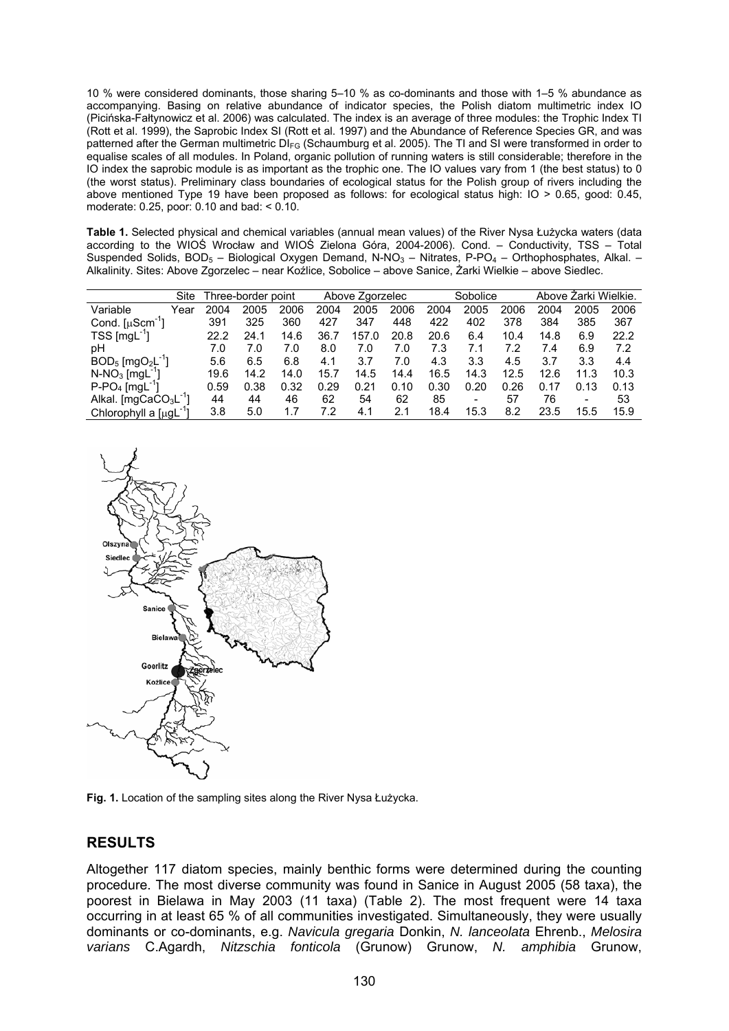10 % were considered dominants, those sharing 5–10 % as co-dominants and those with 1–5 % abundance as accompanying. Basing on relative abundance of indicator species, the Polish diatom multimetric index IO (Picińska-Fałtynowicz et al. 2006) was calculated. The index is an average of three modules: the Trophic Index TI (Rott et al. 1999), the Saprobic Index SI (Rott et al. 1997) and the Abundance of Reference Species GR, and was patterned after the German multimetric DI<sub>FG</sub> (Schaumburg et al. 2005). The TI and SI were transformed in order to equalise scales of all modules. In Poland, organic pollution of running waters is still considerable; therefore in the IO index the saprobic module is as important as the trophic one. The IO values vary from 1 (the best status) to 0 (the worst status). Preliminary class boundaries of ecological status for the Polish group of rivers including the above mentioned Type 19 have been proposed as follows: for ecological status high: IO > 0.65, good: 0.45, moderate: 0.25, poor: 0.10 and bad: < 0.10.

**Table 1.** Selected physical and chemical variables (annual mean values) of the River Nysa Łużycka waters (data according to the WIOŚ Wrocław and WIOŚ Zielona Góra, 2004-2006). Cond. – Conductivity, TSS – Total Suspended Solids,  $BOD_5$  – Biological Oxygen Demand, N-NO<sub>3</sub> – Nitrates, P-PO<sub>4</sub> – Orthophosphates, Alkal. – Alkalinity. Sites: Above Zgorzelec – near Koźlice, Sobolice – above Sanice, Żarki Wielkie – above Siedlec.

|                                               | Site | Three-border point |      |      | Above Zgorzelec |       |      | Sobolice |      |      | Above Zarki Wielkie. |      |      |
|-----------------------------------------------|------|--------------------|------|------|-----------------|-------|------|----------|------|------|----------------------|------|------|
| Variable<br>Year                              |      | 2004               | 2005 | 2006 | 2004            | 2005  | 2006 | 2004     | 2005 | 2006 | 2004                 | 2005 | 2006 |
| Cond. $[\mu$ Scm <sup>-1</sup> ]              |      | 391                | 325  | 360  | 427             | 347   | 448  | 422      | 402  | 378  | 384                  | 385  | 367  |
| $TSS$ [mgL <sup>-1</sup> ]                    |      | 22.2               | 24.1 | 14.6 | 36.7            | 157.0 | 20.8 | 20.6     | 6.4  | 10.4 | 14.8                 | 6.9  | 22.2 |
| рH                                            |      | 7.0                | 7.0  | 7.0  | 8.0             | 7.0   | 7.0  | 7.3      | 7.1  | 7.2  | 7.4                  | 6.9  | 7.2  |
| $BOD_5$ [mgO <sub>2</sub> L <sup>-1</sup> ]   |      | 5.6                | 6.5  | 6.8  | 4.1             | 3.7   | 7.0  | 4.3      | 3.3  | 4.5  | 3.7                  | 3.3  | 4.4  |
| $N-NO_3$ [mgL <sup>-1</sup> ]                 |      | 19.6               | 14.2 | 14.0 | 15.7            | 14.5  | 14.4 | 16.5     | 14.3 | 12.5 | 12.6                 | 11.3 | 10.3 |
| $P-PO4$ [mgL <sup>-1</sup> ]                  |      | 0.59               | 0.38 | 0.32 | 0.29            | 0.21  | 0.10 | 0.30     | 0.20 | 0.26 | 0.17                 | 0.13 | 0.13 |
| Alkal. [mgCaCO <sub>3</sub> L <sup>-1</sup> ] |      | 44                 | 44   | 46   | 62              | 54    | 62   | 85       | -    | 57   | 76                   |      | 53   |
| Chlorophyll a [µqL <sup>-1</sup> ]            |      | 3.8                | 5.0  | 1.7  | 7.2             | 4.1   | 2.1  | 18.4     | 15.3 | 8.2  | 23.5                 | 15.5 | 15.9 |



**Fig. 1.** Location of the sampling sites along the River Nysa Łużycka.

## **RESULTS**

Altogether 117 diatom species, mainly benthic forms were determined during the counting procedure. The most diverse community was found in Sanice in August 2005 (58 taxa), the poorest in Bielawa in May 2003 (11 taxa) (Table 2). The most frequent were 14 taxa occurring in at least 65 % of all communities investigated. Simultaneously, they were usually dominants or co-dominants, e.g. *Navicula gregaria* Donkin, *N. lanceolata* Ehrenb., *Melosira varians* C.Agardh, *Nitzschia fonticola* (Grunow) Grunow, *N. amphibia* Grunow,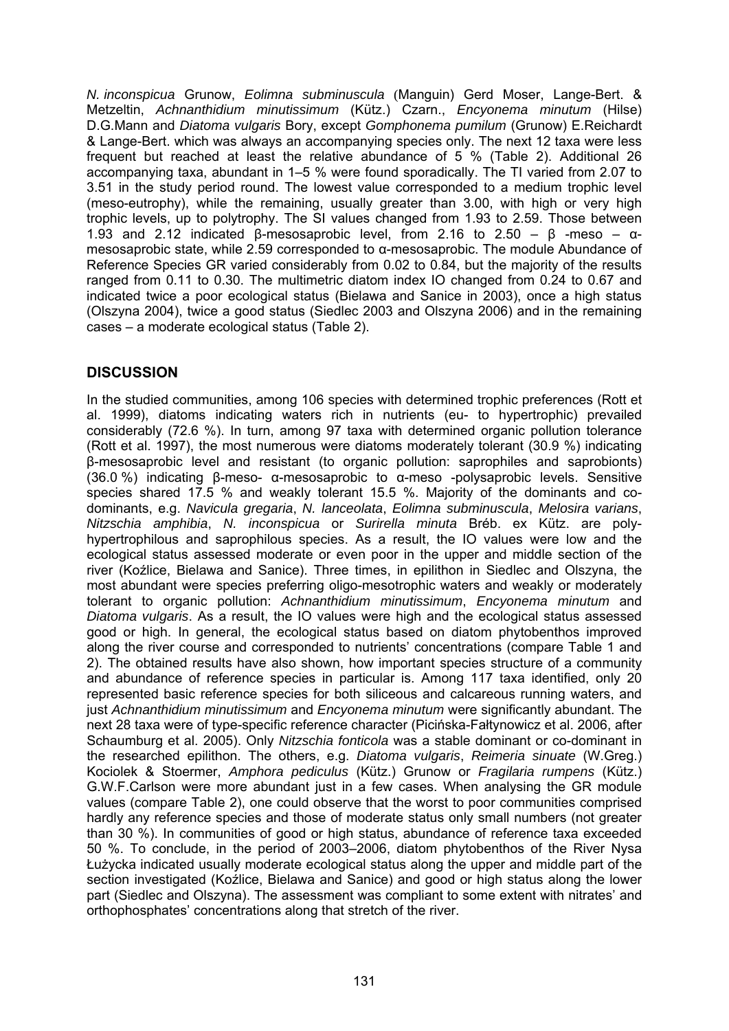*N. inconspicua* Grunow, *Eolimna subminuscula* (Manguin) Gerd Moser, Lange-Bert. & Metzeltin, *Achnanthidium minutissimum* (Kütz.) Czarn., *Encyonema minutum* (Hilse) D.G.Mann and *Diatoma vulgaris* Bory, except *Gomphonema pumilum* (Grunow) E.Reichardt & Lange-Bert. which was always an accompanying species only. The next 12 taxa were less frequent but reached at least the relative abundance of 5 % (Table 2). Additional 26 accompanying taxa, abundant in 1–5 % were found sporadically. The TI varied from 2.07 to 3.51 in the study period round. The lowest value corresponded to a medium trophic level (meso-eutrophy), while the remaining, usually greater than 3.00, with high or very high trophic levels, up to polytrophy. The SI values changed from 1.93 to 2.59. Those between 1.93 and 2.12 indicated β-mesosaprobic level, from 2.16 to 2.50 – β -meso –  $\alpha$ mesosaprobic state, while 2.59 corresponded to α-mesosaprobic. The module Abundance of Reference Species GR varied considerably from 0.02 to 0.84, but the majority of the results ranged from 0.11 to 0.30. The multimetric diatom index IO changed from 0.24 to 0.67 and indicated twice a poor ecological status (Bielawa and Sanice in 2003), once a high status (Olszyna 2004), twice a good status (Siedlec 2003 and Olszyna 2006) and in the remaining cases – a moderate ecological status (Table 2).

# **DISCUSSION**

In the studied communities, among 106 species with determined trophic preferences (Rott et al. 1999), diatoms indicating waters rich in nutrients (eu- to hypertrophic) prevailed considerably (72.6 %). In turn, among 97 taxa with determined organic pollution tolerance (Rott et al. 1997), the most numerous were diatoms moderately tolerant (30.9 %) indicating β-mesosaprobic level and resistant (to organic pollution: saprophiles and saprobionts) (36.0 %) indicating β-meso- α-mesosaprobic to α-meso -polysaprobic levels. Sensitive species shared 17.5 % and weakly tolerant 15.5 %. Majority of the dominants and codominants, e.g. *Navicula gregaria*, *N. lanceolata*, *Eolimna subminuscula*, *Melosira varians*, *Nitzschia amphibia*, *N. inconspicua* or *Surirella minuta* Bréb. ex Kütz. are polyhypertrophilous and saprophilous species. As a result, the IO values were low and the ecological status assessed moderate or even poor in the upper and middle section of the river (Koźlice, Bielawa and Sanice). Three times, in epilithon in Siedlec and Olszyna, the most abundant were species preferring oligo-mesotrophic waters and weakly or moderately tolerant to organic pollution: *Achnanthidium minutissimum*, *Encyonema minutum* and *Diatoma vulgaris*. As a result, the IO values were high and the ecological status assessed good or high. In general, the ecological status based on diatom phytobenthos improved along the river course and corresponded to nutrients' concentrations (compare Table 1 and 2). The obtained results have also shown, how important species structure of a community and abundance of reference species in particular is. Among 117 taxa identified, only 20 represented basic reference species for both siliceous and calcareous running waters, and just *Achnanthidium minutissimum* and *Encyonema minutum* were significantly abundant. The next 28 taxa were of type-specific reference character (Picińska-Fałtynowicz et al. 2006, after Schaumburg et al. 2005). Only *Nitzschia fonticola* was a stable dominant or co-dominant in the researched epilithon. The others, e.g. *Diatoma vulgaris*, *Reimeria sinuate* (W.Greg.) Kociolek & Stoermer, *Amphora pediculus* (Kütz.) Grunow or *Fragilaria rumpens* (Kütz.) G.W.F.Carlson were more abundant just in a few cases. When analysing the GR module values (compare Table 2), one could observe that the worst to poor communities comprised hardly any reference species and those of moderate status only small numbers (not greater than 30 %). In communities of good or high status, abundance of reference taxa exceeded 50 %. To conclude, in the period of 2003–2006, diatom phytobenthos of the River Nysa Łużycka indicated usually moderate ecological status along the upper and middle part of the section investigated (Koźlice, Bielawa and Sanice) and good or high status along the lower part (Siedlec and Olszyna). The assessment was compliant to some extent with nitrates' and orthophosphates' concentrations along that stretch of the river.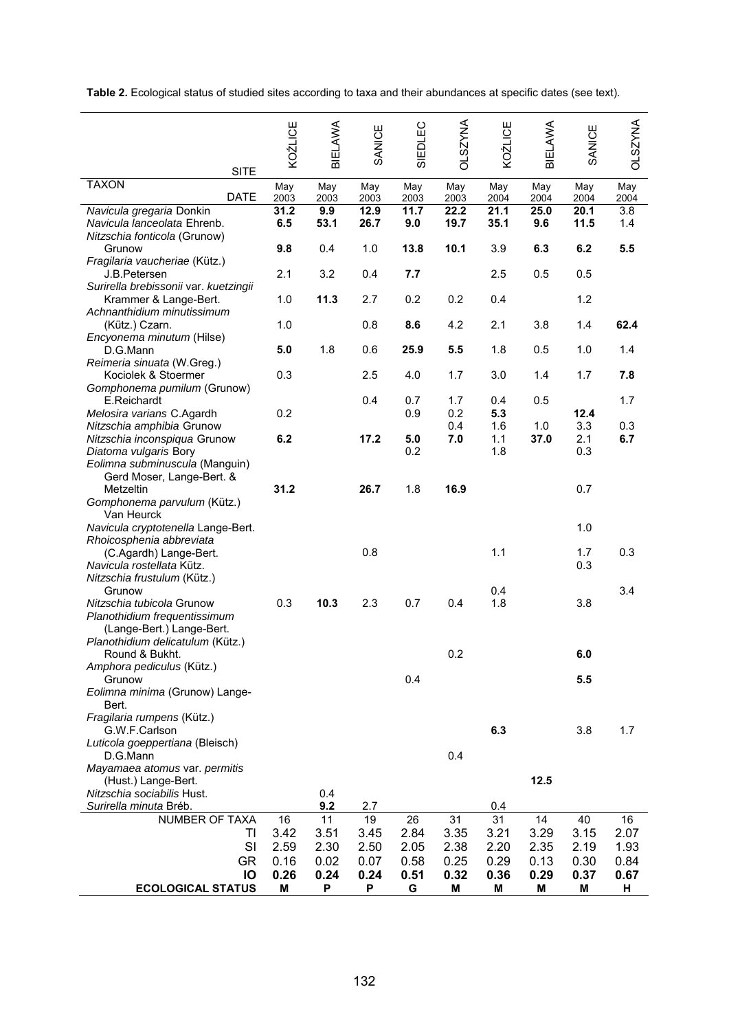**Table 2.** Ecological status of studied sites according to taxa and their abundances at specific dates (see text).

|                                                                |                              | KOŹLICE      | BIELAWA      | SANICE       | SIEDLEC      | <b>DLSZYNA</b> | KOŹLICE      | <b>BIELAWA</b> | SANICE       | <b>OLSZYNA</b> |
|----------------------------------------------------------------|------------------------------|--------------|--------------|--------------|--------------|----------------|--------------|----------------|--------------|----------------|
|                                                                | <b>SITE</b>                  |              |              |              |              |                |              |                |              |                |
| <b>TAXON</b>                                                   | <b>DATE</b>                  | May<br>2003  | May<br>2003  | May<br>2003  | May<br>2003  | May<br>2003    | May<br>2004  | May<br>2004    | May<br>2004  | May<br>2004    |
| Navicula gregaria Donkin<br>Navicula lanceolata Ehrenb.        |                              | 31.2<br>6.5  | 9.9<br>53.1  | 12.9<br>26.7 | 11.7<br>9.0  | 22.2<br>19.7   | 21.1<br>35.1 | 25.0<br>9.6    | 20.1<br>11.5 | 3.8<br>1.4     |
| Nitzschia fonticola (Grunow)                                   |                              |              |              |              |              |                |              |                |              |                |
| Grunow                                                         |                              | 9.8          | 0.4          | 1.0          | 13.8         | 10.1           | 3.9          | 6.3            | 6.2          | 5.5            |
| Fragilaria vaucheriae (Kütz.)<br>J.B.Petersen                  |                              | 2.1          | 3.2          | 0.4          | 7.7          |                | 2.5          | 0.5            | 0.5          |                |
| Surirella brebissonii var. kuetzingii<br>Krammer & Lange-Bert. |                              | 1.0          | 11.3         | 2.7          | 0.2          | 0.2            | 0.4          |                | 1.2          |                |
| Achnanthidium minutissimum<br>(Kütz.) Czarn.                   |                              | 1.0          |              | 0.8          | 8.6          | 4.2            | 2.1          | 3.8            | 1.4          | 62.4           |
| Encyonema minutum (Hilse)<br>D.G.Mann                          |                              | 5.0          | 1.8          | 0.6          | 25.9         | 5.5            | 1.8          | 0.5            | 1.0          | 1.4            |
| Reimeria sinuata (W.Greg.)<br>Kociolek & Stoermer              |                              | 0.3          |              | 2.5          | 4.0          | 1.7            | 3.0          | 1.4            | 1.7          | 7.8            |
| Gomphonema pumilum (Grunow)<br>E.Reichardt                     |                              | 0.2          |              | 0.4          | 0.7          | 1.7            | 0.4          | 0.5            |              | 1.7            |
| Melosira varians C.Agardh<br>Nitzschia amphibia Grunow         |                              |              |              |              | 0.9          | 0.2<br>0.4     | 5.3<br>1.6   | 1.0            | 12.4<br>3.3  | 0.3            |
| Nitzschia inconspiqua Grunow                                   |                              | 6.2          |              | 17.2         | 5.0          | 7.0            | 1.1          | 37.0           | 2.1          | 6.7            |
| Diatoma vulgaris Bory                                          |                              |              |              |              | 0.2          |                | 1.8          |                | 0.3          |                |
| Eolimna subminuscula (Manguin)<br>Gerd Moser, Lange-Bert. &    |                              |              |              |              |              |                |              |                |              |                |
| Metzeltin                                                      |                              | 31.2         |              | 26.7         | 1.8          | 16.9           |              |                | 0.7          |                |
| Gomphonema parvulum (Kütz.)                                    |                              |              |              |              |              |                |              |                |              |                |
| Van Heurck<br>Navicula cryptotenella Lange-Bert.               |                              |              |              |              |              |                |              |                | 1.0          |                |
| Rhoicosphenia abbreviata                                       |                              |              |              |              |              |                |              |                |              |                |
| (C.Agardh) Lange-Bert.                                         |                              |              |              | 0.8          |              |                | 1.1          |                | 1.7          | 0.3            |
| Navicula rostellata Kütz.<br>Nitzschia frustulum (Kütz.)       |                              |              |              |              |              |                |              |                | 0.3          |                |
| Grunow                                                         |                              |              |              |              |              |                | 0.4          |                |              | 3.4            |
| Nitzschia tubicola Grunow                                      |                              | 0.3          | 10.3         | 2.3          | 0.7          | 0.4            | 1.8          |                | 3.8          |                |
| (Lange-Bert.) Lange-Bert.                                      | Planothidium frequentissimum |              |              |              |              |                |              |                |              |                |
| Planothidium delicatulum (Kütz.)                               |                              |              |              |              |              |                |              |                |              |                |
| Round & Bukht.                                                 |                              |              |              |              |              | 0.2            |              |                | 6.0          |                |
| Amphora pediculus (Kütz.)<br>Grunow                            |                              |              |              |              | 0.4          |                |              |                | 5.5          |                |
| Eolimna minima (Grunow) Lange-<br>Bert.                        |                              |              |              |              |              |                |              |                |              |                |
| Fragilaria rumpens (Kütz.)<br>G.W.F.Carlson                    |                              |              |              |              |              |                | 6.3          |                | 3.8          | 1.7            |
| Luticola goeppertiana (Bleisch)<br>D.G.Mann                    |                              |              |              |              |              | 0.4            |              |                |              |                |
| Mayamaea atomus var. permitis                                  |                              |              |              |              |              |                |              |                |              |                |
| (Hust.) Lange-Bert.<br>Nitzschia sociabilis Hust.              |                              |              | 0.4          |              |              |                |              | 12.5           |              |                |
| Surirella minuta Bréb.                                         |                              |              | 9.2          | 2.7          |              |                | 0.4          |                |              |                |
| <b>NUMBER OF TAXA</b>                                          |                              | 16           | 11           | 19           | 26           | 31             | 31           | 14             | 40           | 16             |
|                                                                | TI                           | 3.42         | 3.51         | 3.45         | 2.84         | 3.35           | 3.21         | 3.29           | 3.15         | 2.07           |
|                                                                | SI<br><b>GR</b>              | 2.59<br>0.16 | 2.30<br>0.02 | 2.50<br>0.07 | 2.05<br>0.58 | 2.38<br>0.25   | 2.20<br>0.29 | 2.35<br>0.13   | 2.19<br>0.30 | 1.93<br>0.84   |
|                                                                | IO                           | 0.26         | 0.24         | 0.24         | 0.51         | 0.32           | 0.36         | 0.29           | 0.37         | 0.67           |
| <b>ECOLOGICAL STATUS</b>                                       |                              | M            | P            | P            | G            | Μ              | M            | M              | M            | н              |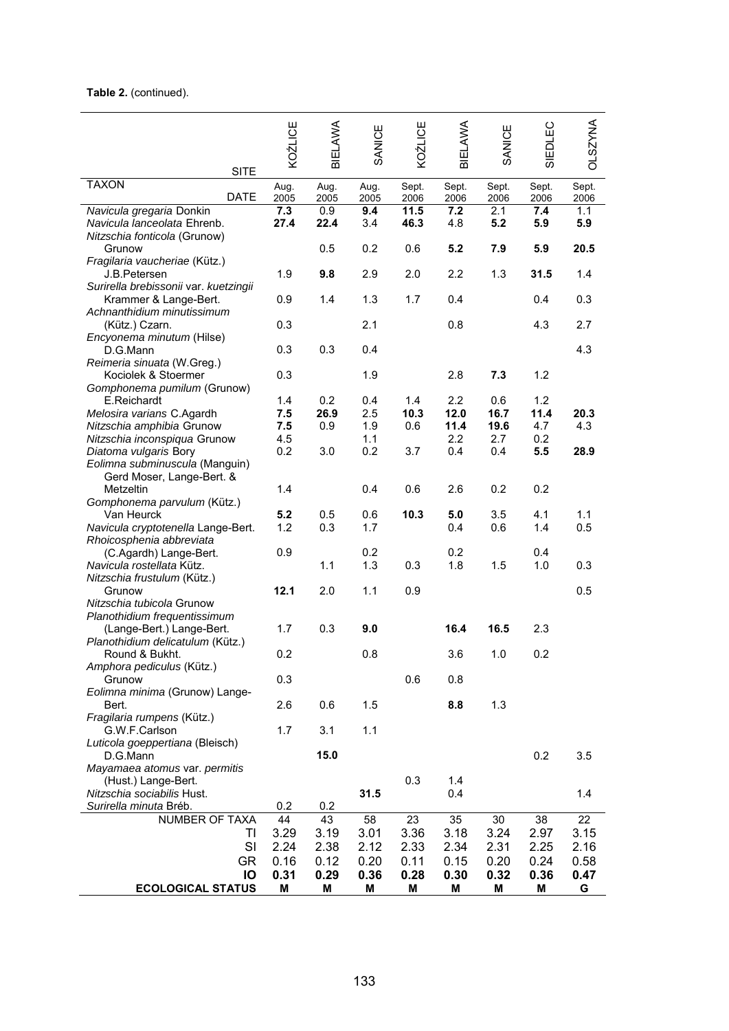#### **Table 2.** (continued).

| <b>SITE</b>                                            | KOŹLICE      | BIELAWA      | SANICE       | KOŹLICE       | BIELAWA       | SANICE        | EDLEC<br>ळ    | <b>OLSZYNA</b> |
|--------------------------------------------------------|--------------|--------------|--------------|---------------|---------------|---------------|---------------|----------------|
| <b>TAXON</b><br><b>DATE</b>                            | Aug.<br>2005 | Aug.<br>2005 | Aug.<br>2005 | Sept.<br>2006 | Sept.<br>2006 | Sept.<br>2006 | Sept.<br>2006 | Sept.<br>2006  |
| Navicula gregaria Donkin                               | 7.3          | 0.9          | 9.4          | 11.5          | 7.2           | 2.1           | 7.4           | 1.1            |
| Navicula lanceolata Ehrenb.                            | 27.4         | 22.4         | 3.4          | 46.3          | 4.8           | 5.2           | 5.9           | 5.9            |
| Nitzschia fonticola (Grunow)<br>Grunow                 |              | 0.5          | 0.2          | 0.6           | 5.2           | 7.9           | 5.9           | 20.5           |
| Fragilaria vaucheriae (Kütz.)                          |              |              |              |               |               |               |               |                |
| J.B.Petersen                                           | 1.9          | 9.8          | 2.9          | 2.0           | 2.2           | 1.3           | 31.5          | 1.4            |
| Surirella brebissonii var. kuetzingii                  |              |              |              |               |               |               |               |                |
| Krammer & Lange-Bert.                                  | 0.9          | 1.4          | 1.3          | 1.7           | 0.4           |               | 0.4           | 0.3            |
| Achnanthidium minutissimum                             |              |              |              |               |               |               |               |                |
| (Kütz.) Czarn.<br>Encyonema minutum (Hilse)            | 0.3          |              | 2.1          |               | 0.8           |               | 4.3           | 2.7            |
| D.G.Mann                                               | 0.3          | 0.3          | 0.4          |               |               |               |               | 4.3            |
| Reimeria sinuata (W.Greg.)                             |              |              |              |               |               |               |               |                |
| Kociolek & Stoermer                                    | 0.3          |              | 1.9          |               | 2.8           | 7.3           | 1.2           |                |
| Gomphonema pumilum (Grunow)                            |              |              |              |               |               |               |               |                |
| E.Reichardt                                            | 1.4          | 0.2          | 0.4          | 1.4           | 2.2           | 0.6           | 1.2           |                |
| Melosira varians C.Agardh<br>Nitzschia amphibia Grunow | 7.5<br>7.5   | 26.9<br>0.9  | 2.5<br>1.9   | 10.3<br>0.6   | 12.0<br>11.4  | 16.7<br>19.6  | 11.4<br>4.7   | 20.3<br>4.3    |
| Nitzschia inconspiqua Grunow                           | 4.5          |              | 1.1          |               | 2.2           | 2.7           | 0.2           |                |
| Diatoma vulgaris Bory                                  | 0.2          | 3.0          | 0.2          | 3.7           | 0.4           | 0.4           | 5.5           | 28.9           |
| Eolimna subminuscula (Manguin)                         |              |              |              |               |               |               |               |                |
| Gerd Moser, Lange-Bert. &                              |              |              |              |               |               |               |               |                |
| Metzeltin                                              | 1.4          |              | 0.4          | 0.6           | 2.6           | 0.2           | 0.2           |                |
| Gomphonema parvulum (Kütz.)<br>Van Heurck              | 5.2          | 0.5          | 0.6          | 10.3          | 5.0           | 3.5           | 4.1           | 1.1            |
| Navicula cryptotenella Lange-Bert.                     | 1.2          | 0.3          | 1.7          |               | 0.4           | 0.6           | 1.4           | 0.5            |
| Rhoicosphenia abbreviata                               |              |              |              |               |               |               |               |                |
| (C.Agardh) Lange-Bert.                                 | 0.9          |              | 0.2          |               | 0.2           |               | 0.4           |                |
| Navicula rostellata Kütz.                              |              | 1.1          | 1.3          | 0.3           | 1.8           | 1.5           | 1.0           | 0.3            |
| Nitzschia frustulum (Kütz.)<br>Grunow                  | 12.1         | 2.0          | 1.1          | 0.9           |               |               |               | 0.5            |
| Nitzschia tubicola Grunow                              |              |              |              |               |               |               |               |                |
| Planothidium frequentissimum                           |              |              |              |               |               |               |               |                |
| (Lange-Bert.) Lange-Bert.                              | 1.7          | 0.3          | 9.0          |               | 16.4          | 16.5          | 2.3           |                |
| Planothidium delicatulum (Kütz.)                       |              |              |              |               |               |               |               |                |
| Round & Bukht.                                         | 0.2          |              | 0.8          |               | 3.6           | 1.0           | 0.2           |                |
| Amphora pediculus (Kütz.)<br>Grunow                    | 0.3          |              |              | 0.6           | 0.8           |               |               |                |
| Eolimna minima (Grunow) Lange-                         |              |              |              |               |               |               |               |                |
| Bert.                                                  | 2.6          | 0.6          | 1.5          |               | 8.8           | 1.3           |               |                |
| Fragilaria rumpens (Kütz.)                             |              |              |              |               |               |               |               |                |
| G.W.F.Carlson                                          | 1.7          | 3.1          | 1.1          |               |               |               |               |                |
| Luticola goeppertiana (Bleisch)<br>D.G.Mann            |              | 15.0         |              |               |               |               | 0.2           |                |
| Mayamaea atomus var. permitis                          |              |              |              |               |               |               |               | 3.5            |
| (Hust.) Lange-Bert.                                    |              |              |              | 0.3           | 1.4           |               |               |                |
| Nitzschia sociabilis Hust.                             |              |              | 31.5         |               | 0.4           |               |               | 1.4            |
| Surirella minuta Bréb.                                 | 0.2          | 0.2          |              |               |               |               |               |                |
| NUMBER OF TAXA                                         | 44           | 43           | 58           | 23            | 35            | 30            | 38            | 22             |
| ΤI<br>SI                                               | 3.29         | 3.19         | 3.01         | 3.36          | 3.18          | 3.24          | 2.97          | 3.15           |
| <b>GR</b>                                              | 2.24<br>0.16 | 2.38<br>0.12 | 2.12<br>0.20 | 2.33<br>0.11  | 2.34<br>0.15  | 2.31<br>0.20  | 2.25<br>0.24  | 2.16<br>0.58   |
| IO                                                     | 0.31         | 0.29         | 0.36         | 0.28          | 0.30          | 0.32          | 0.36          | 0.47           |
| <b>ECOLOGICAL STATUS</b>                               | M            | M            | M            | M             | M             | M             | M             | G              |